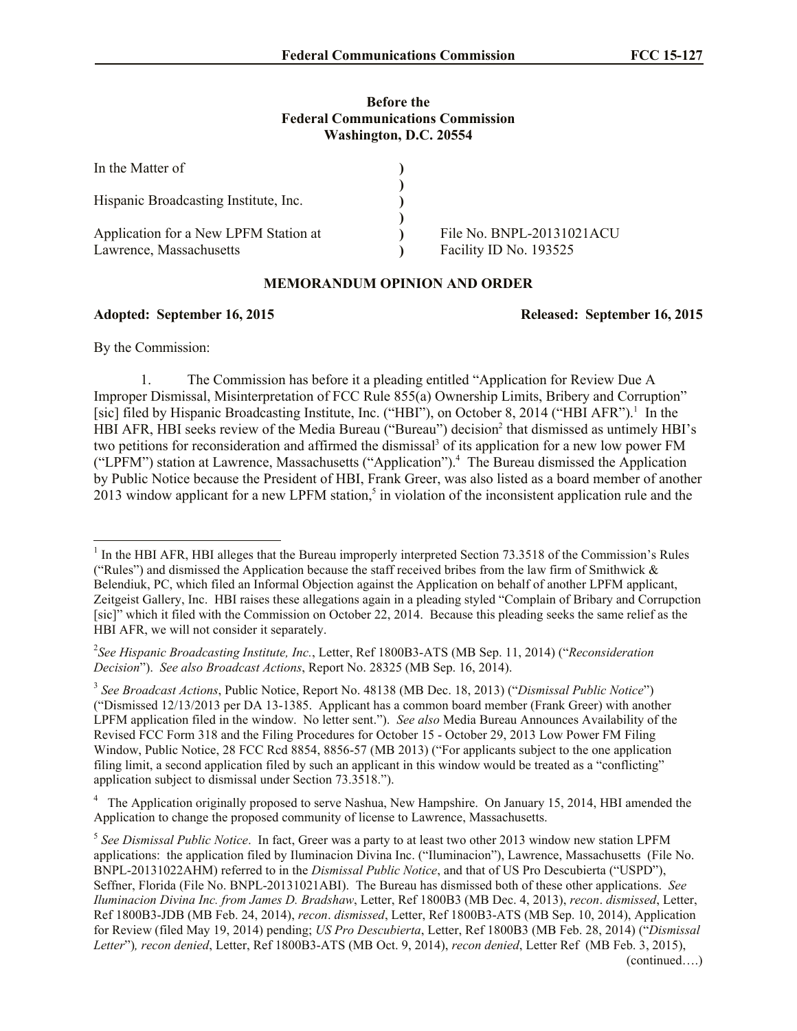## **Before the Federal Communications Commission Washington, D.C. 20554**

| In the Matter of                      |                           |
|---------------------------------------|---------------------------|
|                                       |                           |
| Hispanic Broadcasting Institute, Inc. |                           |
|                                       |                           |
| Application for a New LPFM Station at | File No. BNPL-20131021ACU |
| Lawrence, Massachusetts               | Facility ID No. 193525    |

## **MEMORANDUM OPINION AND ORDER**

## **Adopted: September 16, 2015 Released: September 16, 2015**

By the Commission:

l

1. The Commission has before it a pleading entitled "Application for Review Due A Improper Dismissal, Misinterpretation of FCC Rule 855(a) Ownership Limits, Bribery and Corruption" [sic] filed by Hispanic Broadcasting Institute, Inc. ("HBI"), on October 8, 2014 ("HBI AFR").<sup>1</sup> In the HBI AFR, HBI seeks review of the Media Bureau ("Bureau") decision<sup>2</sup> that dismissed as untimely HBI's two petitions for reconsideration and affirmed the dismissal<sup>3</sup> of its application for a new low power FM ("LPFM") station at Lawrence, Massachusetts ("Application").<sup>4</sup> The Bureau dismissed the Application by Public Notice because the President of HBI, Frank Greer, was also listed as a board member of another 2013 window applicant for a new LPFM station,<sup>5</sup> in violation of the inconsistent application rule and the

<sup>4</sup> The Application originally proposed to serve Nashua, New Hampshire. On January 15, 2014, HBI amended the Application to change the proposed community of license to Lawrence, Massachusetts.

<sup>&</sup>lt;sup>1</sup> In the HBI AFR, HBI alleges that the Bureau improperly interpreted Section 73.3518 of the Commission's Rules ("Rules") and dismissed the Application because the staff received bribes from the law firm of Smithwick  $\&$ Belendiuk, PC, which filed an Informal Objection against the Application on behalf of another LPFM applicant, Zeitgeist Gallery, Inc. HBI raises these allegations again in a pleading styled "Complain of Bribary and Corrupction [sic]" which it filed with the Commission on October 22, 2014. Because this pleading seeks the same relief as the HBI AFR, we will not consider it separately.

<sup>2</sup> *See Hispanic Broadcasting Institute, Inc.*, Letter, Ref 1800B3-ATS (MB Sep. 11, 2014) ("*Reconsideration Decision*"). *See also Broadcast Actions*, Report No. 28325 (MB Sep. 16, 2014).

<sup>3</sup> *See Broadcast Actions*, Public Notice, Report No. 48138 (MB Dec. 18, 2013) ("*Dismissal Public Notice*") ("Dismissed 12/13/2013 per DA 13-1385. Applicant has a common board member (Frank Greer) with another LPFM application filed in the window. No letter sent."). *See also* Media Bureau Announces Availability of the Revised FCC Form 318 and the Filing Procedures for October 15 - October 29, 2013 Low Power FM Filing Window, Public Notice, 28 FCC Rcd 8854, 8856-57 (MB 2013) ("For applicants subject to the one application filing limit, a second application filed by such an applicant in this window would be treated as a "conflicting" application subject to dismissal under Section 73.3518.").

<sup>5</sup> *See Dismissal Public Notice*. In fact, Greer was a party to at least two other 2013 window new station LPFM applications: the application filed by Iluminacion Divina Inc. ("Iluminacion"), Lawrence, Massachusetts (File No. BNPL-20131022AHM) referred to in the *Dismissal Public Notice*, and that of US Pro Descubierta ("USPD"), Seffner, Florida (File No. BNPL-20131021ABI). The Bureau has dismissed both of these other applications. *See Iluminacion Divina Inc. from James D. Bradshaw*, Letter, Ref 1800B3 (MB Dec. 4, 2013), *recon*. *dismissed*, Letter, Ref 1800B3-JDB (MB Feb. 24, 2014), *recon*. *dismissed*, Letter, Ref 1800B3-ATS (MB Sep. 10, 2014), Application for Review (filed May 19, 2014) pending; *US Pro Descubierta*, Letter, Ref 1800B3 (MB Feb. 28, 2014) ("*Dismissal Letter*")*, recon denied*, Letter, Ref 1800B3-ATS (MB Oct. 9, 2014), *recon denied*, Letter Ref (MB Feb. 3, 2015),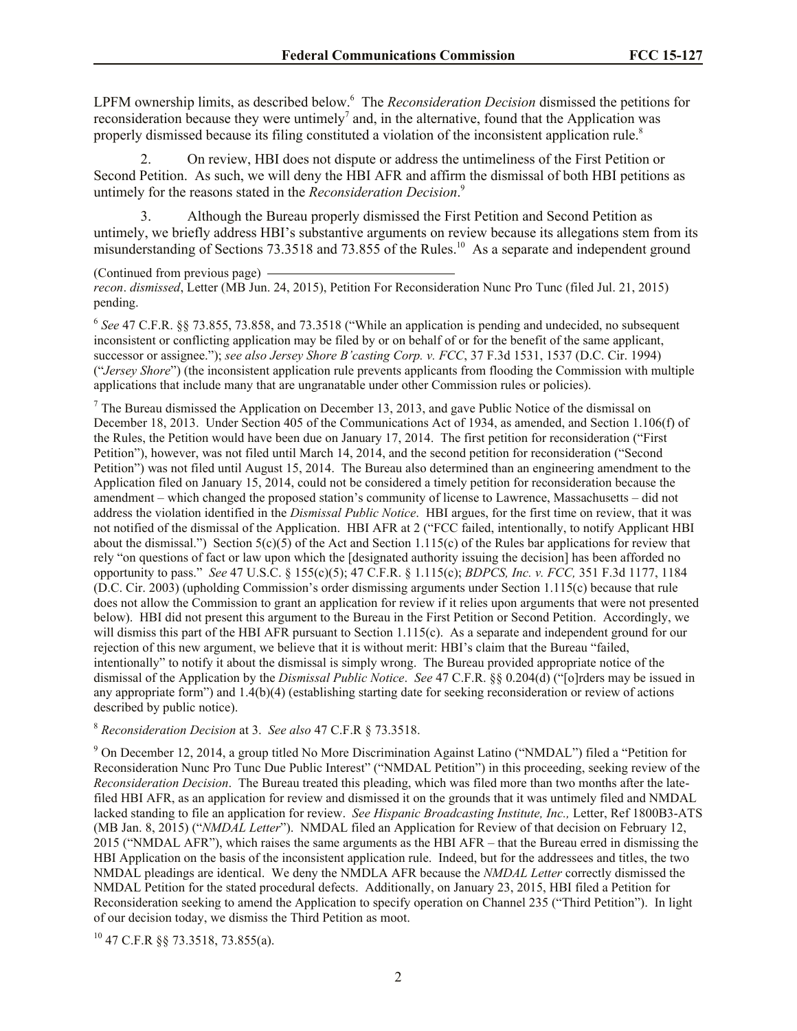LPFM ownership limits, as described below.<sup>6</sup> The *Reconsideration Decision* dismissed the petitions for reconsideration because they were untimely<sup>7</sup> and, in the alternative, found that the Application was properly dismissed because its filing constituted a violation of the inconsistent application rule.<sup>8</sup>

2. On review, HBI does not dispute or address the untimeliness of the First Petition or Second Petition. As such, we will deny the HBI AFR and affirm the dismissal of both HBI petitions as untimely for the reasons stated in the *Reconsideration Decision*. 9

3. Although the Bureau properly dismissed the First Petition and Second Petition as untimely, we briefly address HBI's substantive arguments on review because its allegations stem from its misunderstanding of Sections 73.3518 and 73.855 of the Rules.<sup>10</sup> As a separate and independent ground

(Continued from previous page) *recon*. *dismissed*, Letter (MB Jun. 24, 2015), Petition For Reconsideration Nunc Pro Tunc (filed Jul. 21, 2015) pending.

<sup>6</sup> See 47 C.F.R. §§ 73.855, 73.858, and 73.3518 ("While an application is pending and undecided, no subsequent inconsistent or conflicting application may be filed by or on behalf of or for the benefit of the same applicant, successor or assignee."); *see also Jersey Shore B'casting Corp. v. FCC*, 37 F.3d 1531, 1537 (D.C. Cir. 1994) ("*Jersey Shore*") (the inconsistent application rule prevents applicants from flooding the Commission with multiple applications that include many that are ungranatable under other Commission rules or policies).

 $<sup>7</sup>$  The Bureau dismissed the Application on December 13, 2013, and gave Public Notice of the dismissal on</sup> December 18, 2013. Under Section 405 of the Communications Act of 1934, as amended, and Section 1.106(f) of the Rules, the Petition would have been due on January 17, 2014. The first petition for reconsideration ("First Petition"), however, was not filed until March 14, 2014, and the second petition for reconsideration ("Second Petition") was not filed until August 15, 2014. The Bureau also determined than an engineering amendment to the Application filed on January 15, 2014, could not be considered a timely petition for reconsideration because the amendment – which changed the proposed station's community of license to Lawrence, Massachusetts – did not address the violation identified in the *Dismissal Public Notice*. HBI argues, for the first time on review, that it was not notified of the dismissal of the Application. HBI AFR at 2 ("FCC failed, intentionally, to notify Applicant HBI about the dismissal.") Section  $5(c)(5)$  of the Act and Section 1.115(c) of the Rules bar applications for review that rely "on questions of fact or law upon which the [designated authority issuing the decision] has been afforded no opportunity to pass." *See* 47 U.S.C. § 155(c)(5); 47 C.F.R. § 1.115(c); *BDPCS, Inc. v. FCC,* 351 F.3d 1177, 1184 (D.C. Cir. 2003) (upholding Commission's order dismissing arguments under Section 1.115(c) because that rule does not allow the Commission to grant an application for review if it relies upon arguments that were not presented below). HBI did not present this argument to the Bureau in the First Petition or Second Petition. Accordingly, we will dismiss this part of the HBI AFR pursuant to Section 1.115(c). As a separate and independent ground for our rejection of this new argument, we believe that it is without merit: HBI's claim that the Bureau "failed, intentionally" to notify it about the dismissal is simply wrong. The Bureau provided appropriate notice of the dismissal of the Application by the *Dismissal Public Notice*. *See* 47 C.F.R. §§ 0.204(d) ("[o]rders may be issued in any appropriate form") and 1.4(b)(4) (establishing starting date for seeking reconsideration or review of actions described by public notice).

<sup>8</sup> *Reconsideration Decision* at 3. *See also* 47 C.F.R § 73.3518.

<sup>9</sup> On December 12, 2014, a group titled No More Discrimination Against Latino ("NMDAL") filed a "Petition for Reconsideration Nunc Pro Tunc Due Public Interest" ("NMDAL Petition") in this proceeding, seeking review of the *Reconsideration Decision*. The Bureau treated this pleading, which was filed more than two months after the latefiled HBI AFR, as an application for review and dismissed it on the grounds that it was untimely filed and NMDAL lacked standing to file an application for review. *See Hispanic Broadcasting Institute, Inc.,* Letter, Ref 1800B3-ATS (MB Jan. 8, 2015) ("*NMDAL Letter*"). NMDAL filed an Application for Review of that decision on February 12, 2015 ("NMDAL AFR"), which raises the same arguments as the HBI AFR – that the Bureau erred in dismissing the HBI Application on the basis of the inconsistent application rule. Indeed, but for the addressees and titles, the two NMDAL pleadings are identical. We deny the NMDLA AFR because the *NMDAL Letter* correctly dismissed the NMDAL Petition for the stated procedural defects. Additionally, on January 23, 2015, HBI filed a Petition for Reconsideration seeking to amend the Application to specify operation on Channel 235 ("Third Petition"). In light of our decision today, we dismiss the Third Petition as moot.

 $^{10}$  47 C.F.R §§ 73.3518, 73.855(a).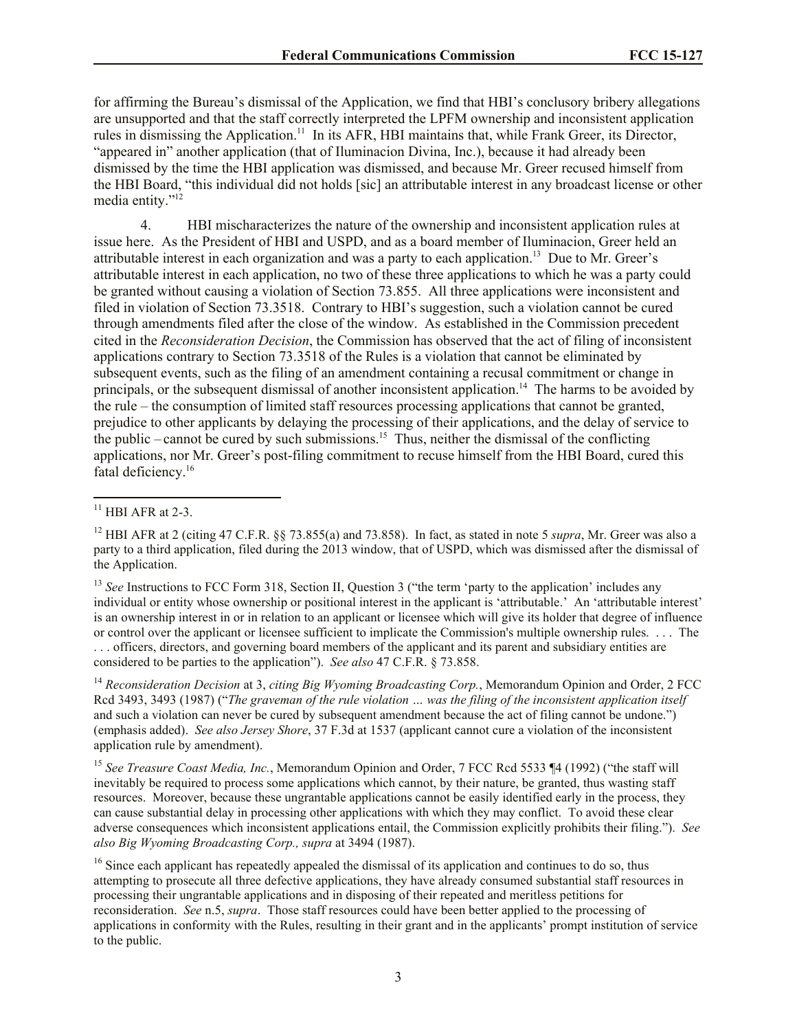for affirming the Bureau's dismissal of the Application, we find that HBI's conclusory bribery allegations are unsupported and that the staff correctly interpreted the LPFM ownership and inconsistent application rules in dismissing the Application.<sup>11</sup> In its AFR, HBI maintains that, while Frank Greer, its Director, "appeared in" another application (that of Iluminacion Divina, Inc.), because it had already been dismissed by the time the HBI application was dismissed, and because Mr. Greer recused himself from the HBI Board, "this individual did not holds [sic] an attributable interest in any broadcast license or other media entity."<sup>12</sup>

4. HBI mischaracterizes the nature of the ownership and inconsistent application rules at issue here. As the President of HBI and USPD, and as a board member of Iluminacion, Greer held an attributable interest in each organization and was a party to each application. 13 Due to Mr. Greer's attributable interest in each application, no two of these three applications to which he was a party could be granted without causing a violation of Section 73.855. All three applications were inconsistent and filed in violation of Section 73.3518. Contrary to HBI's suggestion, such a violation cannot be cured through amendments filed after the close of the window. As established in the Commission precedent cited in the *Reconsideration Decision*, the Commission has observed that the act of filing of inconsistent applications contrary to Section 73.3518 of the Rules is a violation that cannot be eliminated by subsequent events, such as the filing of an amendment containing a recusal commitment or change in principals, or the subsequent dismissal of another inconsistent application.<sup>14</sup> The harms to be avoided by the rule – the consumption of limited staff resources processing applications that cannot be granted, prejudice to other applicants by delaying the processing of their applications, and the delay of service to the public – cannot be cured by such submissions.<sup>15</sup> Thus, neither the dismissal of the conflicting applications, nor Mr. Greer's post-filing commitment to recuse himself from the HBI Board, cured this fatal deficiency.<sup>16</sup>

l

<sup>13</sup> *See* Instructions to FCC Form 318, Section II, Question 3 ("the term 'party to the application' includes any individual or entity whose ownership or positional interest in the applicant is 'attributable.' An 'attributable interest' is an ownership interest in or in relation to an applicant or licensee which will give its holder that degree of influence or control over the applicant or licensee sufficient to implicate the Commission's multiple ownership rules. . . . The . . . officers, directors, and governing board members of the applicant and its parent and subsidiary entities are considered to be parties to the application"). *See also* 47 C.F.R. § 73.858.

<sup>14</sup> *Reconsideration Decision* at 3, *citing Big Wyoming Broadcasting Corp.*, Memorandum Opinion and Order, 2 FCC Rcd 3493, 3493 (1987) ("*The graveman of the rule violation … was the filing of the inconsistent application itself*  and such a violation can never be cured by subsequent amendment because the act of filing cannot be undone.") (emphasis added). *See also Jersey Shore*, 37 F.3d at 1537 (applicant cannot cure a violation of the inconsistent application rule by amendment).

<sup>15</sup> *See Treasure Coast Media, Inc.*, Memorandum Opinion and Order, 7 FCC Rcd 5533 ¶4 (1992) ("the staff will inevitably be required to process some applications which cannot, by their nature, be granted, thus wasting staff resources. Moreover, because these ungrantable applications cannot be easily identified early in the process, they can cause substantial delay in processing other applications with which they may conflict. To avoid these clear adverse consequences which inconsistent applications entail, the Commission explicitly prohibits their filing."). *See also Big Wyoming Broadcasting Corp., supra* at 3494 (1987).

<sup>16</sup> Since each applicant has repeatedly appealed the dismissal of its application and continues to do so, thus attempting to prosecute all three defective applications, they have already consumed substantial staff resources in processing their ungrantable applications and in disposing of their repeated and meritless petitions for reconsideration. *See* n.5, *supra*. Those staff resources could have been better applied to the processing of applications in conformity with the Rules, resulting in their grant and in the applicants' prompt institution of service to the public.

 $11$  HBI AFR at 2-3.

<sup>12</sup> HBI AFR at 2 (citing 47 C.F.R. §§ 73.855(a) and 73.858). In fact, as stated in note 5 *supra*, Mr. Greer was also a party to a third application, filed during the 2013 window, that of USPD, which was dismissed after the dismissal of the Application.